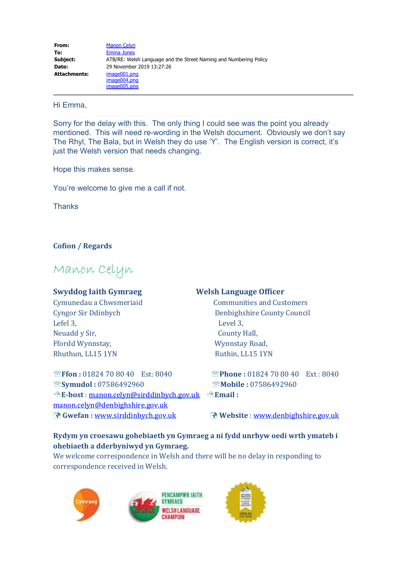### Hi Emma,

Sorry for the delay with this. The only thing I could see was the point you already mentioned. This will need re-wording in the Welsh document. Obviously we don't say The Rhyl, The Bala, but in Welsh they do use 'Y'. The English version is correct, it's just the Welsh version that needs changing.

Hope this makes sense.

You're welcome to give me a call if not.

**Thanks** 

### **Cofion / Regards**

# Manon Celyn

Lefel 3,  $L$ Neuadd y Sir, **County Hall**, Ffordd Wynnstay, The Company of the Wynnstay Road, Rhuthun, LL15 1YN Ruthin, LL15 1YN

### **Swyddog Iaith Gymraeg Welsh Language Officer**

Cymunedau a Chwsmeriaid Communities and Customers Cyngor Sir Ddinbych Denbighshire County Council

'**Ffon :** 01824 70 80 40 Est: 8040 '**Phone :** 01824 70 80 40 Ext : 8040 '**Symudol :** 07586492960 '**Mobile :** 07586492960 ;**E-bost** : [manon.celyn@sirddinbych.gov.uk](mailto:manon.celyn@sirddinbych.gov.uk) ;**Email :** [manon.celyn@denbighshire.gov.uk](mailto:manon.celyn@denbighshire.gov.uk) ü **Gwefan :** [www.sirddinbych.gov.uk](http://www.sirddinbych.gov.uk/) ü **Website** : [www.denbighshire.gov.uk](http://www.denbighshire.gov.uk/)

## **Rydym yn croesawu gohebiaeth yn Gymraeg a ni fydd unrhyw oedi wrth ymateb i ohebiaeth a dderbyniwyd yn Gymraeg.**

We welcome correspondence in Welsh and there will be no delay in responding to correspondence received in Welsh.